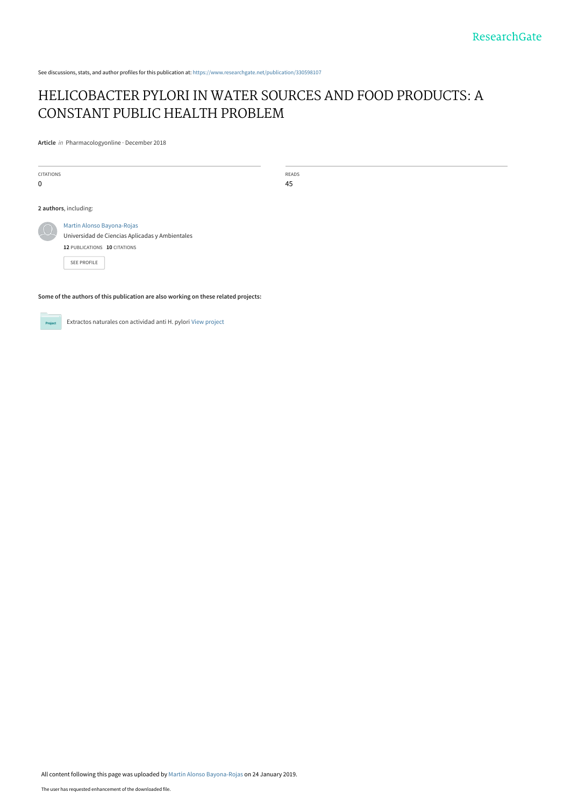See discussions, stats, and author profiles for this publication at: [https://www.researchgate.net/publication/330598107](https://www.researchgate.net/publication/330598107_HELICOBACTER_PYLORI_IN_WATER_SOURCES_AND_FOOD_PRODUCTS_A_CONSTANT_PUBLIC_HEALTH_PROBLEM?enrichId=rgreq-7f8914c124173bce5210777a2dc2d15f-XXX&enrichSource=Y292ZXJQYWdlOzMzMDU5ODEwNztBUzo3MTg1ODg4ODUzNjQ3MzZAMTU0ODMzNjM0OTM1Nw%3D%3D&el=1_x_2&_esc=publicationCoverPdf)

# [HELICOBACTER PYLORI IN WATER SOURCES AND FOOD PRODUCTS: A](https://www.researchgate.net/publication/330598107_HELICOBACTER_PYLORI_IN_WATER_SOURCES_AND_FOOD_PRODUCTS_A_CONSTANT_PUBLIC_HEALTH_PROBLEM?enrichId=rgreq-7f8914c124173bce5210777a2dc2d15f-XXX&enrichSource=Y292ZXJQYWdlOzMzMDU5ODEwNztBUzo3MTg1ODg4ODUzNjQ3MzZAMTU0ODMzNjM0OTM1Nw%3D%3D&el=1_x_3&_esc=publicationCoverPdf) CONSTANT PUBLIC HEALTH PROBLEM

**Article** in Pharmacologyonline · December 2018

| <b>CITATIONS</b><br>$\mathbf 0$ |                                                                                                                                     | READS<br>45 |
|---------------------------------|-------------------------------------------------------------------------------------------------------------------------------------|-------------|
| 2 authors, including:           |                                                                                                                                     |             |
| $\mu$                           | Martín Alonso Bayona-Rojas<br>Universidad de Ciencias Aplicadas y Ambientales<br>12 PUBLICATIONS 10 CITATIONS<br><b>SEE PROFILE</b> |             |

**Some of the authors of this publication are also working on these related projects:**

**Project** 

Extractos naturales con actividad anti H. pylori [View project](https://www.researchgate.net/project/Extractos-naturales-con-actividad-anti-H-pylori?enrichId=rgreq-7f8914c124173bce5210777a2dc2d15f-XXX&enrichSource=Y292ZXJQYWdlOzMzMDU5ODEwNztBUzo3MTg1ODg4ODUzNjQ3MzZAMTU0ODMzNjM0OTM1Nw%3D%3D&el=1_x_9&_esc=publicationCoverPdf)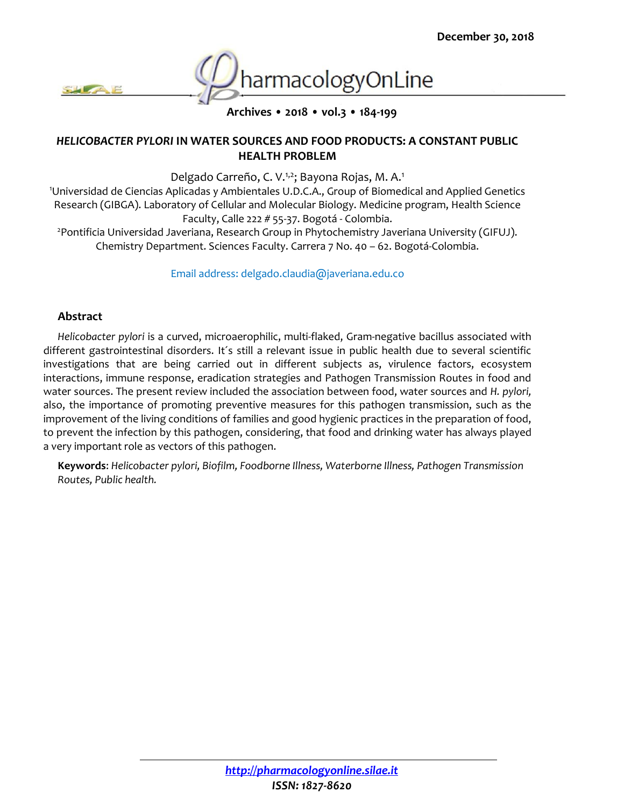

**Archives • 2018 • vol.3 • 184-199**

#### *HELICOBACTER PYLORI* **IN WATER SOURCES AND FOOD PRODUCTS: A CONSTANT PUBLIC HEALTH PROBLEM**

Delgado Carreño, C. V.<sup>1,2</sup>; Bayona Rojas, M. A.<sup>1</sup>

<sup>1</sup>Universidad de Ciencias Aplicadas y Ambientales U.D.C.A., Group of Biomedical and Applied Genetics Research (GIBGA). Laboratory of Cellular and Molecular Biology. Medicine program, Health Science Faculty, Calle 222 # 55-37. Bogotá - Colombia.

<sup>2</sup> Pontificia Universidad Javeriana, Research Group in Phytochemistry Javeriana University (GIFUJ). Chemistry Department. Sciences Faculty. Carrera 7 No. 40 – 62. Bogotá-Colombia.

Email address: delgado.claudia@javeriana.edu.co

#### **Abstract**

*Helicobacter pylori* is a curved, microaerophilic, multi-flaked, Gram-negative bacillus associated with different gastrointestinal disorders. It´s still a relevant issue in public health due to several scientific investigations that are being carried out in different subjects as, virulence factors, ecosystem interactions, immune response, eradication strategies and Pathogen Transmission Routes in food and water sources. The present review included the association between food, water sources and *H. pylori,*  also, the importance of promoting preventive measures for this pathogen transmission, such as the improvement of the living conditions of families and good hygienic practices in the preparation of food, to prevent the infection by this pathogen, considering, that food and drinking water has always played a very important role as vectors of this pathogen.

**Keywords**: *Helicobacter pylori, Biofilm, Foodborne Illness, Waterborne Illness, Pathogen Transmission Routes, Public health.*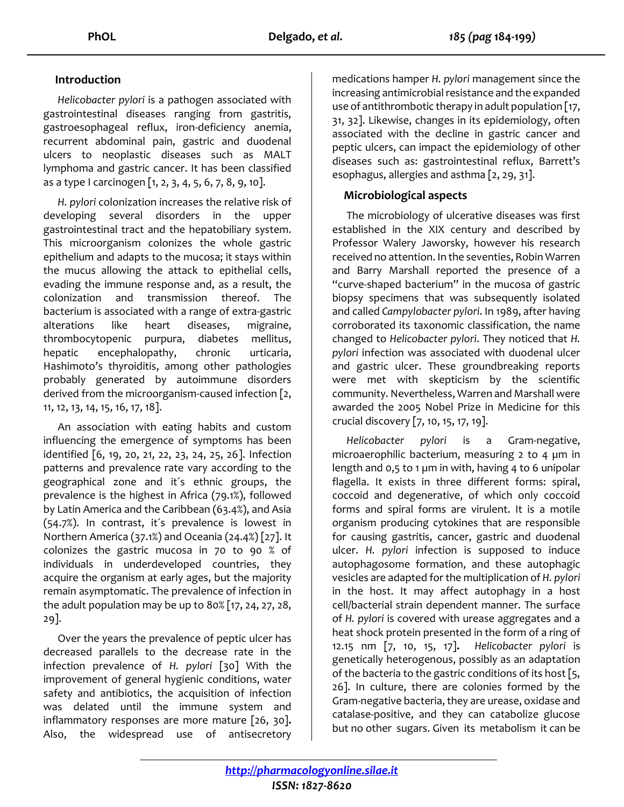## **Introduction**

*Helicobacter pylori* is a pathogen associated with gastrointestinal diseases ranging from gastritis, gastroesophageal reflux, iron-deficiency anemia, recurrent abdominal pain, gastric and duodenal ulcers to neoplastic diseases such as MALT lymphoma and gastric cancer. It has been classified as a type I carcinogen [1, 2, 3, 4, 5, 6, 7, 8, 9, 10].

*H. pylori* colonization increases the relative risk of developing several disorders in the upper gastrointestinal tract and the hepatobiliary system. This microorganism colonizes the whole gastric epithelium and adapts to the mucosa; it stays within the mucus allowing the attack to epithelial cells, evading the immune response and, as a result, the colonization and transmission thereof. The bacterium is associated with a range of extra-gastric alterations like heart diseases, migraine, thrombocytopenic purpura, diabetes mellitus, hepatic encephalopathy, chronic urticaria, Hashimoto's thyroiditis, among other pathologies probably generated by autoimmune disorders derived from the microorganism-caused infection [2, 11, 12, 13, 14, 15, 16, 17, 18].

An association with eating habits and custom influencing the emergence of symptoms has been identified [6, 19, 20, 21, 22, 23, 24, 25, 26]. Infection patterns and prevalence rate vary according to the geographical zone and it´s ethnic groups, the prevalence is the highest in Africa (79.1%), followed by Latin America and the Caribbean (63.4%), and Asia (54.7%). In contrast, it´s prevalence is lowest in Northern America (37.1%) and Oceania (24.4%) [27]. It colonizes the gastric mucosa in 70 to 90 % of individuals in underdeveloped countries, they acquire the organism at early ages, but the majority remain asymptomatic. The prevalence of infection in the adult population may be up to 80% [17, 24, 27, 28, 29].

Over the years the prevalence of peptic ulcer has decreased parallels to the decrease rate in the infection prevalence of *H. pylori* [30] With the improvement of general hygienic conditions, water safety and antibiotics, the acquisition of infection was delated until the immune system and inflammatory responses are more mature [26, 30]**.**  Also, the widespread use of antisecretory

medications hamper *H. pylori* management since the increasing antimicrobial resistance and the expanded use of antithrombotic therapy in adult population [17, 31, 32]. Likewise, changes in its epidemiology, often associated with the decline in gastric cancer and peptic ulcers, can impact the epidemiology of other diseases such as: gastrointestinal reflux, Barrett's esophagus, allergies and asthma [2, 29, 31].

## **Microbiological aspects**

The microbiology of ulcerative diseases was first established in the XIX century and described by Professor Walery Jaworsky, however his research received no attention. In the seventies, Robin Warren and Barry Marshall reported the presence of a "curve-shaped bacterium" in the mucosa of gastric biopsy specimens that was subsequently isolated and called *Campylobacter pylori*. In 1989, after having corroborated its taxonomic classification, the name changed to *Helicobacter pylori*. They noticed that *H. pylori* infection was associated with duodenal ulcer and gastric ulcer. These groundbreaking reports were met with skepticism by the scientific community. Nevertheless, Warren and Marshall were awarded the 2005 Nobel Prize in Medicine for this crucial discovery [7, 10, 15, 17, 19].

*Helicobacter pylori* is a Gram-negative, microaerophilic bacterium, measuring 2 to 4 µm in length and 0,5 to 1 µm in with, having 4 to 6 unipolar flagella. It exists in three different forms: spiral, coccoid and degenerative, of which only coccoid forms and spiral forms are virulent. It is a motile organism producing cytokines that are responsible for causing gastritis, cancer, gastric and duodenal ulcer. *H. pylori* infection is supposed to induce autophagosome formation, and these autophagic vesicles are adapted for the multiplication of *H. pylori* in the host. It may affect autophagy in a host cell/bacterial strain dependent manner. The surface of *H. pylori* is covered with urease aggregates and a heat shock protein presented in the form of a ring of 12.15 nm [7, 10, 15, 17]**.** *Helicobacter pylori* is genetically heterogenous, possibly as an adaptation of the bacteria to the gastric conditions of its host [5, 26]. In culture, there are colonies formed by the Gram-negative bacteria, they are urease, oxidase and catalase-positive, and they can catabolize glucose but no other sugars. Given its metabolism it can be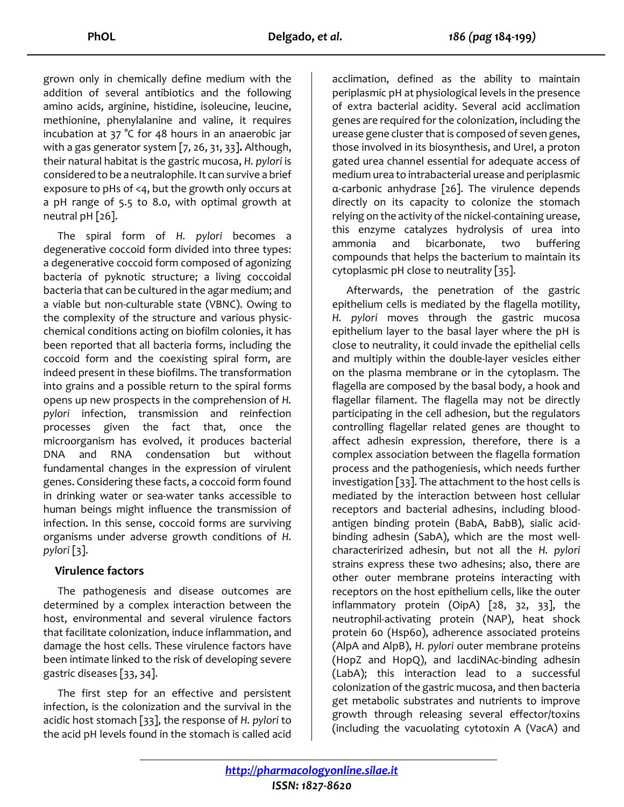grown only in chemically define medium with the addition of several antibiotics and the following amino acids, arginine, histidine, isoleucine, leucine, methionine, phenylalanine and valine, it requires incubation at 37 °C for 48 hours in an anaerobic jar with a gas generator system [7, 26, 31, 33]**.** Although, their natural habitat is the gastric mucosa, *H. pylori* is considered to be a neutralophile. It can survive a brief exposure to pHs of <4, but the growth only occurs at a pH range of 5.5 to 8.0, with optimal growth at neutral pH [26].

The spiral form of *H. pylori* becomes a degenerative coccoid form divided into three types: a degenerative coccoid form composed of agonizing bacteria of pyknotic structure; a living coccoidal bacteria that can be cultured in the agar medium; and a viable but non-culturable state (VBNC). Owing to the complexity of the structure and various physicchemical conditions acting on biofilm colonies, it has been reported that all bacteria forms, including the coccoid form and the coexisting spiral form, are indeed present in these biofilms. The transformation into grains and a possible return to the spiral forms opens up new prospects in the comprehension of *H. pylori* infection, transmission and reinfection processes given the fact that, once the microorganism has evolved, it produces bacterial DNA and RNA condensation but without fundamental changes in the expression of virulent genes. Considering these facts, a coccoid form found in drinking water or sea-water tanks accessible to human beings might influence the transmission of infection. In this sense, coccoid forms are surviving organisms under adverse growth conditions of *H. pylori* [3].

### **Virulence factors**

The pathogenesis and disease outcomes are determined by a complex interaction between the host, environmental and several virulence factors that facilitate colonization, induce inflammation, and damage the host cells. These virulence factors have been intimate linked to the risk of developing severe gastric diseases [33, 34].

The first step for an effective and persistent infection, is the colonization and the survival in the acidic host stomach [33], the response of *H. pylori* to the acid pH levels found in the stomach is called acid

acclimation, defined as the ability to maintain periplasmic pH at physiological levels in the presence of extra bacterial acidity. Several acid acclimation genes are required for the colonization, including the urease gene cluster that is composed of seven genes, those involved in its biosynthesis, and UreI, a proton gated urea channel essential for adequate access of medium urea to intrabacterial urease and periplasmic α-carbonic anhydrase [26]. The virulence depends directly on its capacity to colonize the stomach relying on the activity of the nickel-containing urease, this enzyme catalyzes hydrolysis of urea into ammonia and bicarbonate, two buffering compounds that helps the bacterium to maintain its cytoplasmic pH close to neutrality [35].

Afterwards, the penetration of the gastric epithelium cells is mediated by the flagella motility, *H. pylori* moves through the gastric mucosa epithelium layer to the basal layer where the pH is close to neutrality, it could invade the epithelial cells and multiply within the double-layer vesicles either on the plasma membrane or in the cytoplasm. The flagella are composed by the basal body, a hook and flagellar filament. The flagella may not be directly participating in the cell adhesion, but the regulators controlling flagellar related genes are thought to affect adhesin expression, therefore, there is a complex association between the flagella formation process and the pathogeniesis, which needs further investigation [33]. The attachment to the host cells is mediated by the interaction between host cellular receptors and bacterial adhesins, including bloodantigen binding protein (BabA, BabB), sialic acidbinding adhesin (SabA), which are the most wellcharacterirized adhesin, but not all the *H. pylori* strains express these two adhesins; also, there are other outer membrane proteins interacting with receptors on the host epithelium cells, like the outer inflammatory protein (OipA) [28, 32, 33], the neutrophil-activating protein (NAP), heat shock protein 60 (Hsp60), adherence associated proteins (AlpA and AlpB), *H. pylori* outer membrane proteins (HopZ and HopQ), and lacdiNAc-binding adhesin (LabA); this interaction lead to a successful colonization of the gastric mucosa, and then bacteria get metabolic substrates and nutrients to improve growth through releasing several effector/toxins (including the vacuolating cytotoxin A (VacA) and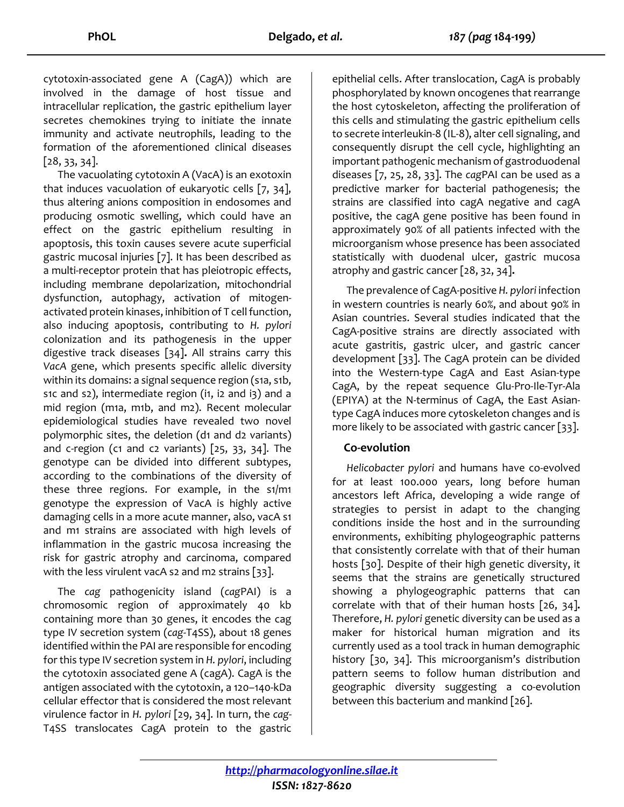cytotoxin-associated gene A (CagA)) which are involved in the damage of host tissue and intracellular replication, the gastric epithelium layer secretes chemokines trying to initiate the innate immunity and activate neutrophils, leading to the formation of the aforementioned clinical diseases [28, 33, 34].

The vacuolating cytotoxin A (VacA) is an exotoxin that induces vacuolation of eukaryotic cells [7, 34], thus altering anions composition in endosomes and producing osmotic swelling, which could have an effect on the gastric epithelium resulting in apoptosis, this toxin causes severe acute superficial gastric mucosal injuries [7]. It has been described as a multi-receptor protein that has pleiotropic effects, including membrane depolarization, mitochondrial dysfunction, autophagy, activation of mitogenactivated protein kinases, inhibition of T cell function, also inducing apoptosis, contributing to *H. pylori* colonization and its pathogenesis in the upper digestive track diseases [34]**.** All strains carry this *VacA* gene, which presents specific allelic diversity within its domains: a signal sequence region (s1a, s1b, s1c and s2), intermediate region (i1, i2 and i3) and a mid region (m1a, m1b, and m2). Recent molecular epidemiological studies have revealed two novel polymorphic sites, the deletion (d1 and d2 variants) and c-region (c1 and c2 variants)  $[25, 33, 34]$ . The genotype can be divided into different subtypes, according to the combinations of the diversity of these three regions. For example, in the s1/m1 genotype the expression of VacA is highly active damaging cells in a more acute manner, also, vacA s1 and m1 strains are associated with high levels of inflammation in the gastric mucosa increasing the risk for gastric atrophy and carcinoma, compared with the less virulent vacA s2 and m2 strains [33].

The *cag* pathogenicity island (*cag*PAI) is a chromosomic region of approximately 40 kb containing more than 30 genes, it encodes the cag type IV secretion system (*cag*-T4SS), about 18 genes identified within the PAI are responsible for encoding for this type IV secretion system in *H. pylori*, including the cytotoxin associated gene A (cagA). CagA is the antigen associated with the cytotoxin, a 120–140-kDa cellular effector that is considered the most relevant virulence factor in *H. pylori* [29, 34]. In turn, the *cag*-T4SS translocates CagA protein to the gastric

epithelial cells. After translocation, CagA is probably phosphorylated by known oncogenes that rearrange the host cytoskeleton, affecting the proliferation of this cells and stimulating the gastric epithelium cells to secrete interleukin-8 (IL-8), alter cell signaling, and consequently disrupt the cell cycle, highlighting an important pathogenic mechanism of gastroduodenal diseases [7, 25, 28, 33]. The *cag*PAI can be used as a predictive marker for bacterial pathogenesis; the strains are classified into cagA negative and cagA positive, the cagA gene positive has been found in approximately 90% of all patients infected with the microorganism whose presence has been associated statistically with duodenal ulcer, gastric mucosa atrophy and gastric cancer [28, 32, 34]**.**

The prevalence of CagA-positive *H. pylori* infection in western countries is nearly 60%, and about 90% in Asian countries. Several studies indicated that the CagA-positive strains are directly associated with acute gastritis, gastric ulcer, and gastric cancer development [33]. The CagA protein can be divided into the Western-type CagA and East Asian-type CagA, by the repeat sequence Glu-Pro-Ile-Tyr-Ala (EPIYA) at the N-terminus of CagA, the East Asiantype CagA induces more cytoskeleton changes and is more likely to be associated with gastric cancer [33].

### **Co-evolution**

*Helicobacter pylori* and humans have co-evolved for at least 100.000 years, long before human ancestors left Africa, developing a wide range of strategies to persist in adapt to the changing conditions inside the host and in the surrounding environments, exhibiting phylogeographic patterns that consistently correlate with that of their human hosts [30]. Despite of their high genetic diversity, it seems that the strains are genetically structured showing a phylogeographic patterns that can correlate with that of their human hosts [26, 34]**.**  Therefore, *H. pylori* genetic diversity can be used as a maker for historical human migration and its currently used as a tool track in human demographic history [30, 34]. This microorganism's distribution pattern seems to follow human distribution and geographic diversity suggesting a co-evolution between this bacterium and mankind [26].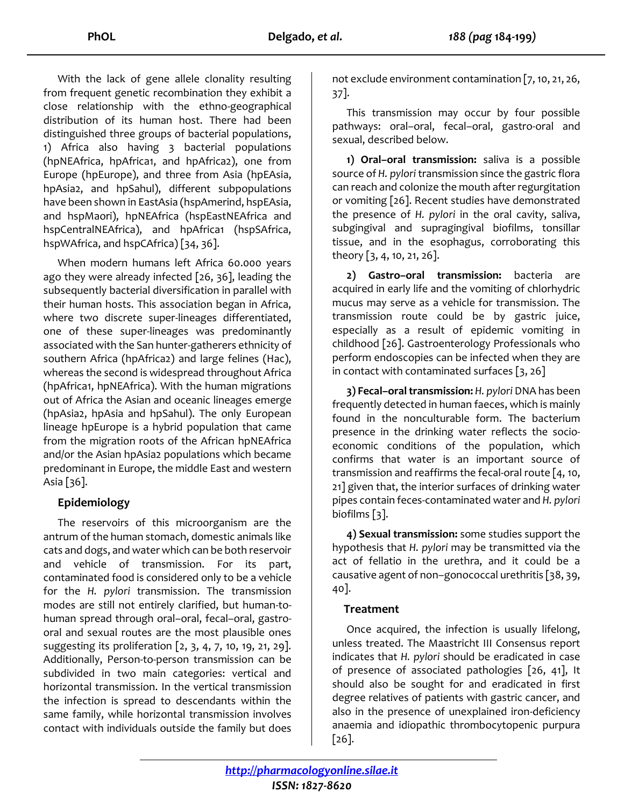With the lack of gene allele clonality resulting from frequent genetic recombination they exhibit a close relationship with the ethno-geographical distribution of its human host. There had been distinguished three groups of bacterial populations, 1) Africa also having 3 bacterial populations (hpNEAfrica, hpAfrica1, and hpAfrica2), one from Europe (hpEurope), and three from Asia (hpEAsia, hpAsia2, and hpSahul), different subpopulations have been shown in EastAsia (hspAmerind, hspEAsia, and hspMaori), hpNEAfrica (hspEastNEAfrica and hspCentralNEAfrica), and hpAfrica1 (hspSAfrica, hspWAfrica, and hspCAfrica) [34, 36].

When modern humans left Africa 60.000 years ago they were already infected [26, 36], leading the subsequently bacterial diversification in parallel with their human hosts. This association began in Africa, where two discrete super-lineages differentiated, one of these super-lineages was predominantly associated with the San hunter-gatherers ethnicity of southern Africa (hpAfrica2) and large felines (Hac), whereas the second is widespread throughout Africa (hpAfrica1, hpNEAfrica). With the human migrations out of Africa the Asian and oceanic lineages emerge (hpAsia2, hpAsia and hpSahul). The only European lineage hpEurope is a hybrid population that came from the migration roots of the African hpNEAfrica and/or the Asian hpAsia2 populations which became predominant in Europe, the middle East and western Asia [36].

## **Epidemiology**

The reservoirs of this microorganism are the antrum of the human stomach, domestic animals like cats and dogs, and water which can be both reservoir and vehicle of transmission. For its part, contaminated food is considered only to be a vehicle for the *H. pylori* transmission. The transmission modes are still not entirely clarified, but human-tohuman spread through oral–oral, fecal–oral, gastrooral and sexual routes are the most plausible ones suggesting its proliferation [2, 3, 4, 7, 10, 19, 21, 29]. Additionally, Person-to-person transmission can be subdivided in two main categories: vertical and horizontal transmission. In the vertical transmission the infection is spread to descendants within the same family, while horizontal transmission involves contact with individuals outside the family but does

not exclude environment contamination [7, 10, 21, 26, 37].

This transmission may occur by four possible pathways: oral–oral, fecal–oral, gastro-oral and sexual, described below.

**1) Oral–oral transmission:** saliva is a possible source of *H. pylori* transmission since the gastric flora can reach and colonize the mouth after regurgitation or vomiting [26]. Recent studies have demonstrated the presence of *H. pylori* in the oral cavity, saliva, subgingival and supragingival biofilms, tonsillar tissue, and in the esophagus, corroborating this theory [3, 4, 10, 21, 26].

**2) Gastro–oral transmission:** bacteria are acquired in early life and the vomiting of chlorhydric mucus may serve as a vehicle for transmission. The transmission route could be by gastric juice, especially as a result of epidemic vomiting in childhood [26]. Gastroenterology Professionals who perform endoscopies can be infected when they are in contact with contaminated surfaces [3, 26]

**3) Fecal–oral transmission:** *H. pylori* DNA has been frequently detected in human faeces, which is mainly found in the nonculturable form. The bacterium presence in the drinking water reflects the socioeconomic conditions of the population, which confirms that water is an important source of transmission and reaffirms the fecal-oral route [4, 10, 21] given that, the interior surfaces of drinking water pipes contain feces-contaminated water and *H. pylori* biofilms [3].

**4) Sexual transmission:** some studies support the hypothesis that *H. pylori* may be transmitted via the act of fellatio in the urethra, and it could be a causative agent of non–gonococcal urethritis [38, 39, 40].

### **Treatment**

Once acquired, the infection is usually lifelong, unless treated. The Maastricht III Consensus report indicates that *H. pylori* should be eradicated in case of presence of associated pathologies [26, 41], It should also be sought for and eradicated in first degree relatives of patients with gastric cancer, and also in the presence of unexplained iron-deficiency anaemia and idiopathic thrombocytopenic purpura [26].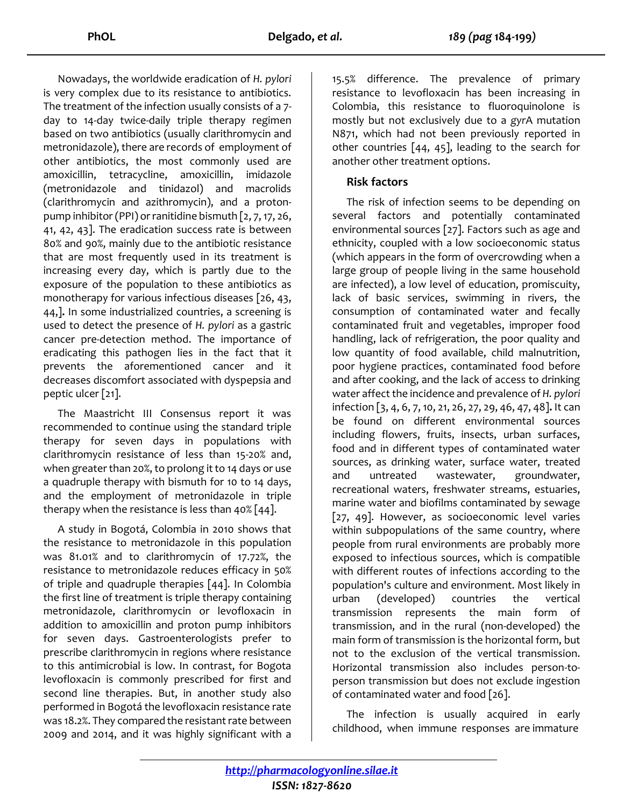Nowadays, the worldwide eradication of *H. pylori* is very complex due to its resistance to antibiotics. The treatment of the infection usually consists of a 7 day to 14-day twice-daily triple therapy regimen based on two antibiotics (usually clarithromycin and metronidazole), there are records of employment of other antibiotics, the most commonly used are amoxicillin, tetracycline, amoxicillin, imidazole (metronidazole and tinidazol) and macrolids (clarithromycin and azithromycin), and a protonpump inhibitor (PPI) or ranitidine bismuth [2, 7, 17, 26, 41, 42, 43]. The eradication success rate is between 80% and 90%, mainly due to the antibiotic resistance that are most frequently used in its treatment is increasing every day, which is partly due to the exposure of the population to these antibiotics as monotherapy for various infectious diseases [26, 43, 44,]**.** In some industrialized countries, a screening is used to detect the presence of *H. pylori* as a gastric cancer pre-detection method. The importance of eradicating this pathogen lies in the fact that it prevents the aforementioned cancer and it decreases discomfort associated with dyspepsia and peptic ulcer [21].

The Maastricht III Consensus report it was recommended to continue using the standard triple therapy for seven days in populations with clarithromycin resistance of less than 15-20% and, when greater than 20%, to prolong it to 14 days or use a quadruple therapy with bismuth for 10 to 14 days, and the employment of metronidazole in triple therapy when the resistance is less than  $40\%$  [44].

A study in Bogotá, Colombia in 2010 shows that the resistance to metronidazole in this population was 81.01% and to clarithromycin of 17.72%, the resistance to metronidazole reduces efficacy in 50% of triple and quadruple therapies [44]. In Colombia the first line of treatment is triple therapy containing metronidazole, clarithromycin or levofloxacin in addition to amoxicillin and proton pump inhibitors for seven days. Gastroenterologists prefer to prescribe clarithromycin in regions where resistance to this antimicrobial is low. In contrast, for Bogota levofloxacin is commonly prescribed for first and second line therapies. But, in another study also performed in Bogotá the levofloxacin resistance rate was 18.2%. They compared the resistant rate between 2009 and 2014, and it was highly significant with a

15.5% difference. The prevalence of primary resistance to levofloxacin has been increasing in Colombia, this resistance to fluoroquinolone is mostly but not exclusively due to a *gyr*A mutation N871, which had not been previously reported in other countries [44, 45], leading to the search for another other treatment options.

## **Risk factors**

The risk of infection seems to be depending on several factors and potentially contaminated environmental sources [27]. Factors such as age and ethnicity, coupled with a low socioeconomic status (which appears in the form of overcrowding when a large group of people living in the same household are infected), a low level of education, promiscuity, lack of basic services, swimming in rivers, the consumption of contaminated water and fecally contaminated fruit and vegetables, improper food handling, lack of refrigeration, the poor quality and low quantity of food available, child malnutrition, poor hygiene practices, contaminated food before and after cooking, and the lack of access to drinking water affect the incidence and prevalence of *H. pylori* infection [3, 4, 6, 7, 10, 21, 26, 27, 29, 46, 47, 48]**.** It can be found on different environmental sources including flowers, fruits, insects, urban surfaces, food and in different types of contaminated water sources, as drinking water, surface water, treated and untreated wastewater, groundwater, recreational waters, freshwater streams, estuaries, marine water and biofilms contaminated by sewage [27, 49]. However, as socioeconomic level varies within subpopulations of the same country, where people from rural environments are probably more exposed to infectious sources, which is compatible with different routes of infections according to the population's culture and environment. Most likely in urban (developed) countries the vertical transmission represents the main form of transmission, and in the rural (non-developed) the main form of transmission is the horizontal form, but not to the exclusion of the vertical transmission. Horizontal transmission also includes person-toperson transmission but does not exclude ingestion of contaminated water and food [26].

The infection is usually acquired in early childhood, when immune responses are immature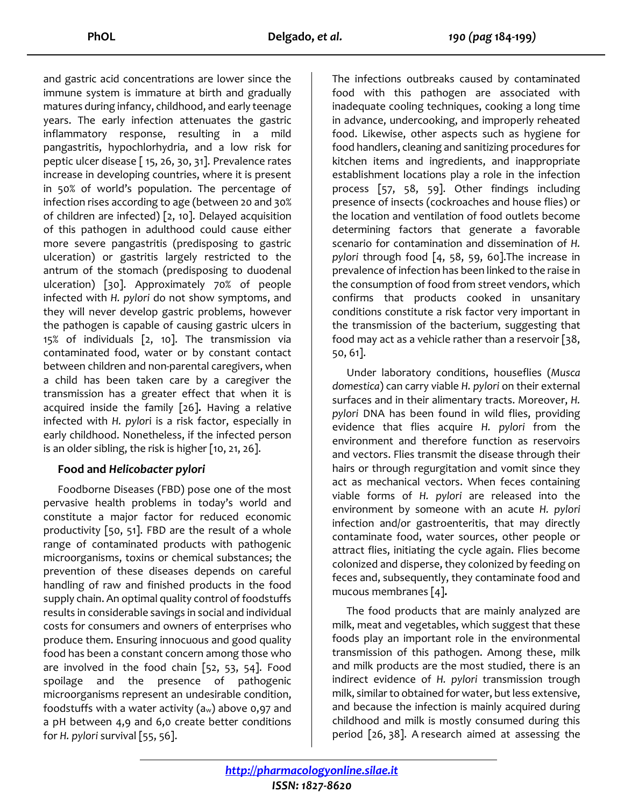and gastric acid concentrations are lower since the immune system is immature at birth and gradually matures during infancy, childhood, and early teenage years. The early infection attenuates the gastric inflammatory response, resulting in a mild pangastritis, hypochlorhydria, and a low risk for peptic ulcer disease [ 15, 26, 30, 31]. Prevalence rates increase in developing countries, where it is present in 50% of world's population. The percentage of infection rises according to age (between 20 and 30% of children are infected) [2, 10]. Delayed acquisition of this pathogen in adulthood could cause either more severe pangastritis (predisposing to gastric ulceration) or gastritis largely restricted to the antrum of the stomach (predisposing to duodenal ulceration) [30]. Approximately 70% of people infected with *H. pylori* do not show symptoms, and they will never develop gastric problems, however the pathogen is capable of causing gastric ulcers in 15% of individuals [2, 10]. The transmission via contaminated food, water or by constant contact between children and non-parental caregivers, when a child has been taken care by a caregiver the transmission has a greater effect that when it is acquired inside the family [26]**.** Having a relative infected with *H. pylor*i is a risk factor, especially in early childhood. Nonetheless, if the infected person is an older sibling, the risk is higher [10, 21, 26].

### **Food and** *Helicobacter pylori*

Foodborne Diseases (FBD) pose one of the most pervasive health problems in today's world and constitute a major factor for reduced economic productivity [50, 51]. FBD are the result of a whole range of contaminated products with pathogenic microorganisms, toxins or chemical substances; the prevention of these diseases depends on careful handling of raw and finished products in the food supply chain. An optimal quality control of foodstuffs results in considerable savings in social and individual costs for consumers and owners of enterprises who produce them. Ensuring innocuous and good quality food has been a constant concern among those who are involved in the food chain  $[52, 53, 54]$ . Food spoilage and the presence of pathogenic microorganisms represent an undesirable condition, foodstuffs with a water activity  $(a_w)$  above 0,97 and a pH between 4,9 and 6,0 create better conditions for *H. pylori* survival [55, 56].

The infections outbreaks caused by contaminated food with this pathogen are associated with inadequate cooling techniques, cooking a long time in advance, undercooking, and improperly reheated food. Likewise, other aspects such as hygiene for food handlers, cleaning and sanitizing procedures for kitchen items and ingredients, and inappropriate establishment locations play a role in the infection process [57, 58, 59]. Other findings including presence of insects (cockroaches and house flies) or the location and ventilation of food outlets become determining factors that generate a favorable scenario for contamination and dissemination of *H. pylori* through food [4, 58, 59, 60].The increase in prevalence of infection has been linked to the raise in the consumption of food from street vendors, which confirms that products cooked in unsanitary conditions constitute a risk factor very important in the transmission of the bacterium, suggesting that food may act as a vehicle rather than a reservoir [38, 50, 61].

Under laboratory conditions, houseflies (*Musca domestica*) can carry viable *H. pylori* on their external surfaces and in their alimentary tracts. Moreover, *H. pylori* DNA has been found in wild flies, providing evidence that flies acquire *H. pylori* from the environment and therefore function as reservoirs and vectors. Flies transmit the disease through their hairs or through regurgitation and vomit since they act as mechanical vectors. When feces containing viable forms of *H. pylori* are released into the environment by someone with an acute *H. pylori* infection and/or gastroenteritis, that may directly contaminate food, water sources, other people or attract flies, initiating the cycle again. Flies become colonized and disperse, they colonized by feeding on feces and, subsequently, they contaminate food and mucous membranes [4]**.**

The food products that are mainly analyzed are milk, meat and vegetables, which suggest that these foods play an important role in the environmental transmission of this pathogen. Among these, milk and milk products are the most studied, there is an indirect evidence of *H. pylori* transmission trough milk, similar to obtained for water, but less extensive, and because the infection is mainly acquired during childhood and milk is mostly consumed during this period [26, 38]. A research aimed at assessing the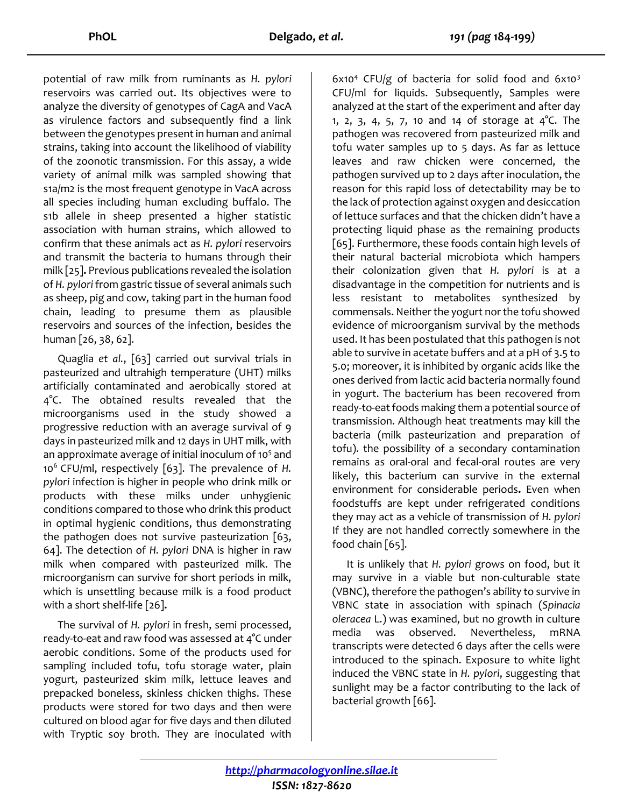potential of raw milk from ruminants as *H. pylori* reservoirs was carried out. Its objectives were to analyze the diversity of genotypes of CagA and VacA as virulence factors and subsequently find a link between the genotypes present in human and animal strains, taking into account the likelihood of viability of the zoonotic transmission. For this assay, a wide variety of animal milk was sampled showing that s1a/m2 is the most frequent genotype in VacA across all species including human excluding buffalo. The s1b allele in sheep presented a higher statistic association with human strains, which allowed to confirm that these animals act as *H. pylori* reservoirs and transmit the bacteria to humans through their milk [25]**.** Previous publications revealed the isolation of *H. pylori* from gastric tissue of several animals such as sheep, pig and cow, taking part in the human food chain, leading to presume them as plausible reservoirs and sources of the infection, besides the human [26, 38, 62].

Quaglia *et al.*, [63] carried out survival trials in pasteurized and ultrahigh temperature (UHT) milks artificially contaminated and aerobically stored at 4°C. The obtained results revealed that the microorganisms used in the study showed a progressive reduction with an average survival of 9 days in pasteurized milk and 12 days in UHT milk, with an approximate average of initial inoculum of 10<sup>5</sup> and 10<sup>6</sup> CFU/ml, respectively [63]. The prevalence of *H. pylori* infection is higher in people who drink milk or products with these milks under unhygienic conditions compared to those who drink this product in optimal hygienic conditions, thus demonstrating the pathogen does not survive pasteurization [63, 64]. The detection of *H. pylori* DNA is higher in raw milk when compared with pasteurized milk. The microorganism can survive for short periods in milk, which is unsettling because milk is a food product with a short shelf-life [26]**.**

The survival of *H. pylori* in fresh, semi processed, ready-to-eat and raw food was assessed at 4°C under aerobic conditions. Some of the products used for sampling included tofu, tofu storage water, plain yogurt, pasteurized skim milk, lettuce leaves and prepacked boneless, skinless chicken thighs. These products were stored for two days and then were cultured on blood agar for five days and then diluted with Tryptic soy broth. They are inoculated with

 $6x10<sup>4</sup>$  CFU/g of bacteria for solid food and  $6x10<sup>3</sup>$ CFU/ml for liquids. Subsequently, Samples were analyzed at the start of the experiment and after day 1, 2, 3, 4, 5, 7, 10 and 14 of storage at  $4^{\circ}$ C. The pathogen was recovered from pasteurized milk and tofu water samples up to 5 days. As far as lettuce leaves and raw chicken were concerned, the pathogen survived up to 2 days after inoculation, the reason for this rapid loss of detectability may be to the lack of protection against oxygen and desiccation of lettuce surfaces and that the chicken didn't have a protecting liquid phase as the remaining products [65]. Furthermore, these foods contain high levels of their natural bacterial microbiota which hampers their colonization given that *H. pylori* is at a disadvantage in the competition for nutrients and is less resistant to metabolites synthesized by commensals. Neither the yogurt nor the tofu showed evidence of microorganism survival by the methods used. It has been postulated that this pathogen is not able to survive in acetate buffers and at a pH of 3.5 to 5.0; moreover, it is inhibited by organic acids like the ones derived from lactic acid bacteria normally found in yogurt. The bacterium has been recovered from ready-to-eat foods making them a potential source of transmission. Although heat treatments may kill the bacteria (milk pasteurization and preparation of tofu). the possibility of a secondary contamination remains as oral-oral and fecal-oral routes are very likely, this bacterium can survive in the external environment for considerable periods**.** Even when foodstuffs are kept under refrigerated conditions they may act as a vehicle of transmission of *H. pylori* If they are not handled correctly somewhere in the food chain [65].

It is unlikely that *H. pylori* grows on food, but it may survive in a viable but non-culturable state (VBNC), therefore the pathogen's ability to survive in VBNC state in association with spinach (*Spinacia oleracea* L.) was examined, but no growth in culture media was observed. Nevertheless, mRNA transcripts were detected 6 days after the cells were introduced to the spinach. Exposure to white light induced the VBNC state in *H. pylori*, suggesting that sunlight may be a factor contributing to the lack of bacterial growth [66].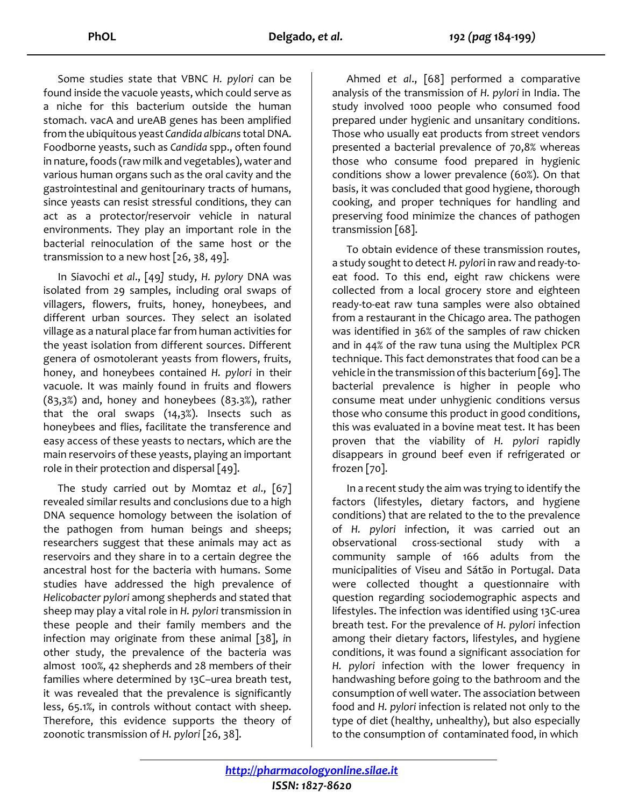Some studies state that VBNC *H. pylori* can be found inside the vacuole yeasts, which could serve as a niche for this bacterium outside the human stomach. vacA and ureAB genes has been amplified from the ubiquitous yeast *Candida albicans*total DNA. Foodborne yeasts, such as *Candida* spp., often found in nature, foods (raw milk and vegetables), water and various human organs such as the oral cavity and the gastrointestinal and genitourinary tracts of humans, since yeasts can resist stressful conditions, they can act as a protector/reservoir vehicle in natural environments. They play an important role in the bacterial reinoculation of the same host or the transmission to a new host [26, 38, 49].

In Siavochi *et al*., [49*]* study, *H. pylory* DNA was isolated from 29 samples, including oral swaps of villagers, flowers, fruits, honey, honeybees, and different urban sources. They select an isolated village as a natural place far from human activities for the yeast isolation from different sources. Different genera of osmotolerant yeasts from flowers, fruits, honey, and honeybees contained *H. pylori* in their vacuole. It was mainly found in fruits and flowers (83,3%) and, honey and honeybees (83.3%), rather that the oral swaps (14,3%). Insects such as honeybees and flies, facilitate the transference and easy access of these yeasts to nectars, which are the main reservoirs of these yeasts, playing an important role in their protection and dispersal [49].

The study carried out by Momtaz *et al*., [67] revealed similar results and conclusions due to a high DNA sequence homology between the isolation of the pathogen from human beings and sheeps; researchers suggest that these animals may act as reservoirs and they share in to a certain degree the ancestral host for the bacteria with humans. Some studies have addressed the high prevalence of *Helicobacter pylori* among shepherds and stated that sheep may play a vital role in *H. pylori* transmission in these people and their family members and the infection may originate from these animal [38], *i*n other study, the prevalence of the bacteria was almost 100%, 42 shepherds and 28 members of their families where determined by 13C–urea breath test, it was revealed that the prevalence is significantly less, 65.1%, in controls without contact with sheep. Therefore, this evidence supports the theory of zoonotic transmission of *H. pylori* [26, 38].

Ahmed *et al*., [68] performed a comparative analysis of the transmission of *H. pylori* in India. The study involved 1000 people who consumed food prepared under hygienic and unsanitary conditions. Those who usually eat products from street vendors presented a bacterial prevalence of 70,8% whereas those who consume food prepared in hygienic conditions show a lower prevalence (60%). On that basis, it was concluded that good hygiene, thorough cooking, and proper techniques for handling and preserving food minimize the chances of pathogen transmission [68].

To obtain evidence of these transmission routes, a study sought to detect *H. pylor*i in raw and ready-toeat food. To this end, eight raw chickens were collected from a local grocery store and eighteen ready-to-eat raw tuna samples were also obtained from a restaurant in the Chicago area. The pathogen was identified in 36% of the samples of raw chicken and in 44% of the raw tuna using the Multiplex PCR technique. This fact demonstrates that food can be a vehicle in the transmission of this bacterium [69]. The bacterial prevalence is higher in people who consume meat under unhygienic conditions versus those who consume this product in good conditions, this was evaluated in a bovine meat test. It has been proven that the viability of *H. pylori* rapidly disappears in ground beef even if refrigerated or frozen [70].

In a recent study the aim was trying to identify the factors (lifestyles, dietary factors, and hygiene conditions) that are related to the to the prevalence of *H. pylori* infection, it was carried out an observational cross-sectional study with a community sample of 166 adults from the municipalities of Viseu and Sátão in Portugal. Data were collected thought a questionnaire with question regarding sociodemographic aspects and lifestyles. The infection was identified using 13C-urea breath test. For the prevalence of *H. pylori* infection among their dietary factors, lifestyles, and hygiene conditions, it was found a significant association for *H. pylori* infection with the lower frequency in handwashing before going to the bathroom and the consumption of well water. The association between food and *H. pylori* infection is related not only to the type of diet (healthy, unhealthy), but also especially to the consumption of contaminated food, in which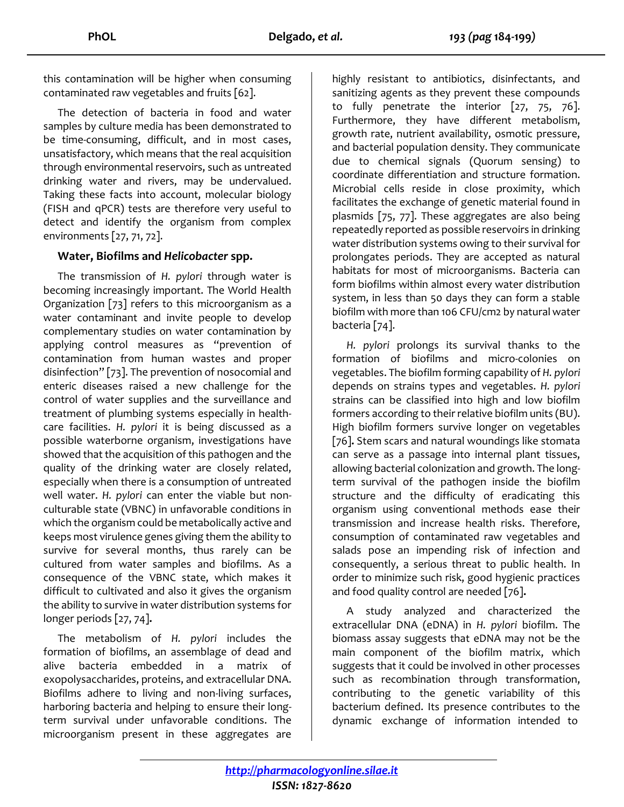this contamination will be higher when consuming contaminated raw vegetables and fruits [62].

The detection of bacteria in food and water samples by culture media has been demonstrated to be time-consuming, difficult, and in most cases, unsatisfactory, which means that the real acquisition through environmental reservoirs, such as untreated drinking water and rivers, may be undervalued. Taking these facts into account, molecular biology (FISH and qPCR) tests are therefore very useful to detect and identify the organism from complex environments [27, 71, 72].

### **Water, Biofilms and** *Helicobacter* **spp.**

The transmission of *H. pylori* through water is becoming increasingly important. The World Health Organization [73] refers to this microorganism as a water contaminant and invite people to develop complementary studies on water contamination by applying control measures as "prevention of contamination from human wastes and proper disinfection" [73]. The prevention of nosocomial and enteric diseases raised a new challenge for the control of water supplies and the surveillance and treatment of plumbing systems especially in healthcare facilities. *H. pylori* it is being discussed as a possible waterborne organism, investigations have showed that the acquisition of this pathogen and the quality of the drinking water are closely related, especially when there is a consumption of untreated well water. *H. pylori* can enter the viable but nonculturable state (VBNC) in unfavorable conditions in which the organism could be metabolically active and keeps most virulence genes giving them the ability to survive for several months, thus rarely can be cultured from water samples and biofilms. As a consequence of the VBNC state, which makes it difficult to cultivated and also it gives the organism the ability to survive in water distribution systems for longer periods [27, 74]**.** 

The metabolism of *H. pylori* includes the formation of biofilms, an assemblage of dead and alive bacteria embedded in a matrix of exopolysaccharides, proteins, and extracellular DNA. Biofilms adhere to living and non-living surfaces, harboring bacteria and helping to ensure their longterm survival under unfavorable conditions. The microorganism present in these aggregates are

highly resistant to antibiotics, disinfectants, and sanitizing agents as they prevent these compounds to fully penetrate the interior [27, 75, 76]. Furthermore, they have different metabolism, growth rate, nutrient availability, osmotic pressure, and bacterial population density. They communicate due to chemical signals (Quorum sensing) to coordinate differentiation and structure formation. Microbial cells reside in close proximity, which facilitates the exchange of genetic material found in plasmids [75, 77]. These aggregates are also being repeatedly reported as possible reservoirs in drinking water distribution systems owing to their survival for prolongates periods. They are accepted as natural habitats for most of microorganisms. Bacteria can form biofilms within almost every water distribution system, in less than 50 days they can form a stable biofilm with more than 106 CFU/cm2 by natural water bacteria [74].

*H. pylori* prolongs its survival thanks to the formation of biofilms and micro-colonies on vegetables. The biofilm forming capability of *H. pylori* depends on strains types and vegetables. *H. pylori* strains can be classified into high and low biofilm formers according to their relative biofilm units (BU). High biofilm formers survive longer on vegetables [76]**.** Stem scars and natural woundings like stomata can serve as a passage into internal plant tissues, allowing bacterial colonization and growth. The longterm survival of the pathogen inside the biofilm structure and the difficulty of eradicating this organism using conventional methods ease their transmission and increase health risks. Therefore, consumption of contaminated raw vegetables and salads pose an impending risk of infection and consequently, a serious threat to public health. In order to minimize such risk, good hygienic practices and food quality control are needed [76]**.**

A study analyzed and characterized the extracellular DNA (eDNA) in *H. pylori* biofilm. The biomass assay suggests that eDNA may not be the main component of the biofilm matrix, which suggests that it could be involved in other processes such as recombination through transformation, contributing to the genetic variability of this bacterium defined. Its presence contributes to the dynamic exchange of information intended to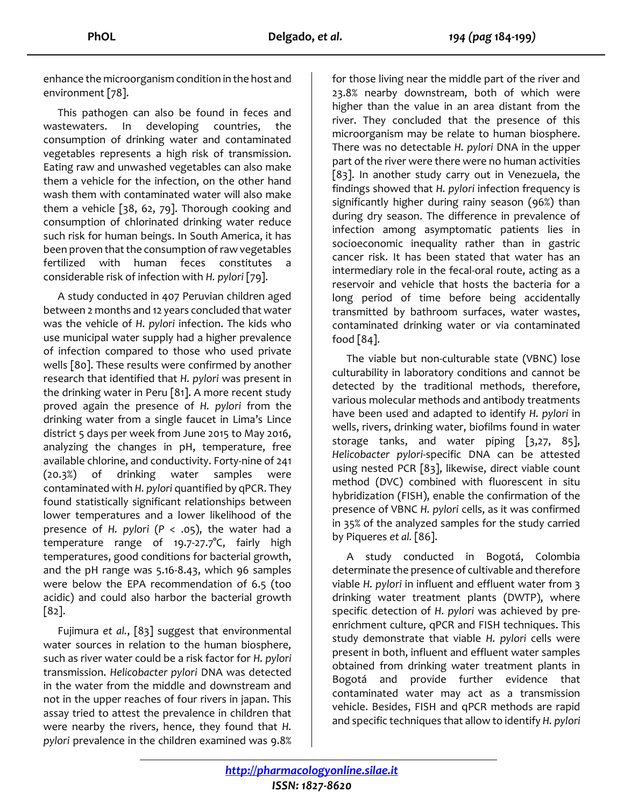enhance the microorganism condition in the host and environment [78].

This pathogen can also be found in feces and wastewaters. In developing countries, the consumption of drinking water and contaminated vegetables represents a high risk of transmission. Eating raw and unwashed vegetables can also make them a vehicle for the infection, on the other hand wash them with contaminated water will also make them a vehicle [38, 62, 79]. Thorough cooking and consumption of chlorinated drinking water reduce such risk for human beings. In South America, it has been proven that the consumption of raw vegetables fertilized with human feces constitutes a considerable risk of infection with *H. pylori* [79].

A study conducted in 407 Peruvian children aged between 2 months and 12 years concluded that water was the vehicle of *H. pylori* infection. The kids who use municipal water supply had a higher prevalence of infection compared to those who used private wells [80]. These results were confirmed by another research that identified that *H. pylori* was present in the drinking water in Peru [81]. A more recent study proved again the presence of *H. pylori* from the drinking water from a single faucet in Lima's Lince district 5 days per week from June 2015 to May 2016, analyzing the changes in pH, temperature, free available chlorine, and conductivity. Forty-nine of 241 (20.3%) of drinking water samples were contaminated with *H. pylori* quantified by qPCR. They found statistically significant relationships between lower temperatures and a lower likelihood of the presence of *H. pylori* (*P* < .05), the water had a temperature range of 19.7-27.7°C, fairly high temperatures, good conditions for bacterial growth, and the pH range was 5.16-8.43, which 96 samples were below the EPA recommendation of 6.5 (too acidic) and could also harbor the bacterial growth [82].

Fujimura *et al.*, [83] suggest that environmental water sources in relation to the human biosphere, such as river water could be a risk factor for *H. pylori* transmission. *Helicobacter pylori* DNA was detected in the water from the middle and downstream and not in the upper reaches of four rivers in japan. This assay tried to attest the prevalence in children that were nearby the rivers, hence, they found that *H. pylori* prevalence in the children examined was 9.8% for those living near the middle part of the river and 23.8% nearby downstream, both of which were higher than the value in an area distant from the river. They concluded that the presence of this microorganism may be relate to human biosphere. There was no detectable *H. pylori* DNA in the upper part of the river were there were no human activities [83]. In another study carry out in Venezuela, the findings showed that *H. pylori* infection frequency is significantly higher during rainy season (96%) than during dry season. The difference in prevalence of infection among asymptomatic patients lies in socioeconomic inequality rather than in gastric cancer risk. It has been stated that water has an intermediary role in the fecal-oral route, acting as a reservoir and vehicle that hosts the bacteria for a long period of time before being accidentally transmitted by bathroom surfaces, water wastes, contaminated drinking water or via contaminated food  $[84]$ .

The viable but non-culturable state (VBNC) lose culturability in laboratory conditions and cannot be detected by the traditional methods, therefore, various molecular methods and antibody treatments have been used and adapted to identify *H. pylori* in wells, rivers, drinking water, biofilms found in water storage tanks, and water piping [3,27, 85], *Helicobacter pylori*-specific DNA can be attested using nested PCR [83], likewise, direct viable count method (DVC) combined with fluorescent in situ hybridization (FISH), enable the confirmation of the presence of VBNC *H. pylori* cells, as it was confirmed in 35% of the analyzed samples for the study carried by Piqueres *et al.* [86].

A study conducted in Bogotá, Colombia determinate the presence of cultivable and therefore viable *H. pylori* in influent and effluent water from 3 drinking water treatment plants (DWTP), where specific detection of *H. pylori* was achieved by preenrichment culture, qPCR and FISH techniques. This study demonstrate that viable *H. pylori* cells were present in both, influent and effluent water samples obtained from drinking water treatment plants in Bogotá and provide further evidence that contaminated water may act as a transmission vehicle. Besides, FISH and qPCR methods are rapid and specific techniques that allow to identify *H. pylori*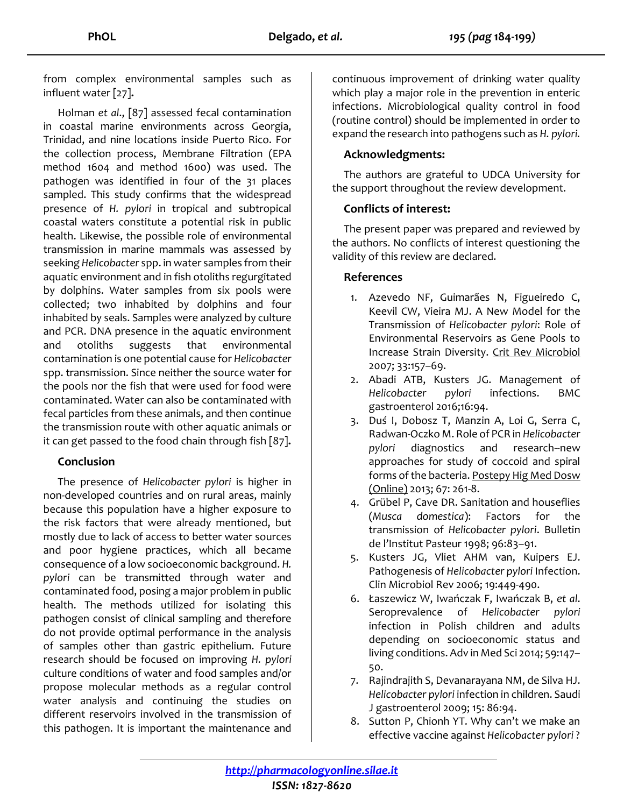from complex environmental samples such as influent water [27]**.**

Holman *et al*., [87] assessed fecal contamination in coastal marine environments across Georgia, Trinidad, and nine locations inside Puerto Rico. For the collection process, Membrane Filtration (EPA method 1604 and method 1600) was used. The pathogen was identified in four of the 31 places sampled. This study confirms that the widespread presence of *H. pylori* in tropical and subtropical coastal waters constitute a potential risk in public health. Likewise, the possible role of environmental transmission in marine mammals was assessed by seeking *Helicobacter* spp. in water samples from their aquatic environment and in fish otoliths regurgitated by dolphins. Water samples from six pools were collected; two inhabited by dolphins and four inhabited by seals. Samples were analyzed by culture and PCR. DNA presence in the aquatic environment and otoliths suggests that environmental contamination is one potential cause for *Helicobacter* spp. transmission. Since neither the source water for the pools nor the fish that were used for food were contaminated. Water can also be contaminated with fecal particles from these animals, and then continue the transmission route with other aquatic animals or it can get passed to the food chain through fish [87]**.**

### **Conclusion**

The presence of *Helicobacter pylori* is higher in non-developed countries and on rural areas, mainly because this population have a higher exposure to the risk factors that were already mentioned, but mostly due to lack of access to better water sources and poor hygiene practices, which all became consequence of a low socioeconomic background. *H. pylori* can be transmitted through water and contaminated food, posing a major problem in public health. The methods utilized for isolating this pathogen consist of clinical sampling and therefore do not provide optimal performance in the analysis of samples other than gastric epithelium. Future research should be focused on improving *H. pylori*  culture conditions of water and food samples and/or propose molecular methods as a regular control water analysis and continuing the studies on different reservoirs involved in the transmission of this pathogen. It is important the maintenance and

continuous improvement of drinking water quality which play a major role in the prevention in enteric infections. Microbiological quality control in food (routine control) should be implemented in order to expand the research into pathogens such as *H. pylori.*

#### **Acknowledgments:**

The authors are grateful to UDCA University for the support throughout the review development.

### **Conflicts of interest:**

The present paper was prepared and reviewed by the authors. No conflicts of interest questioning the validity of this review are declared.

#### **References**

- 1. Azevedo NF, Guimarães N, Figueiredo C, Keevil CW, Vieira MJ. A New Model for the Transmission of *Helicobacter pylori*: Role of Environmental Reservoirs as Gene Pools to Increase Strain Diversity. Crit Rev Microbiol 2007; 33:157–69.
- 2. Abadi ATB, Kusters JG. Management of *Helicobacter pylori* infections. BMC gastroenterol 2016;16:94.
- 3. Duś I, Dobosz T, Manzin A, Loi G, Serra C, Radwan-Oczko M. Role of PCR in *Helicobacter pylori* diagnostics and research--new approaches for study of coccoid and spiral forms of the bacteria. Postepy Hig Med Dosw (Online) 2013; 67: 261-8.
- 4. Grübel P, Cave DR. Sanitation and houseflies (*Musca domestica*): Factors for the transmission of *Helicobacter pylori*. Bulletin de l'Institut Pasteur 1998; 96:83–91.
- 5. Kusters JG, Vliet AHM van, Kuipers EJ. Pathogenesis of *Helicobacter pylori* Infection. Clin Microbiol Rev 2006; 19:449-490.
- 6. Łaszewicz W, Iwańczak F, Iwańczak B, *et al*. Seroprevalence of *Helicobacter pylori* infection in Polish children and adults depending on socioeconomic status and living conditions. Adv in Med Sci 2014; 59:147– 50.
- 7. Rajindrajith S, Devanarayana NM, de Silva HJ. *Helicobacter pylori* infection in children. Saudi J gastroenterol 2009; 15: 86:94.
- 8. Sutton P, Chionh YT. Why can't we make an effective vaccine against *Helicobacter pylori* ?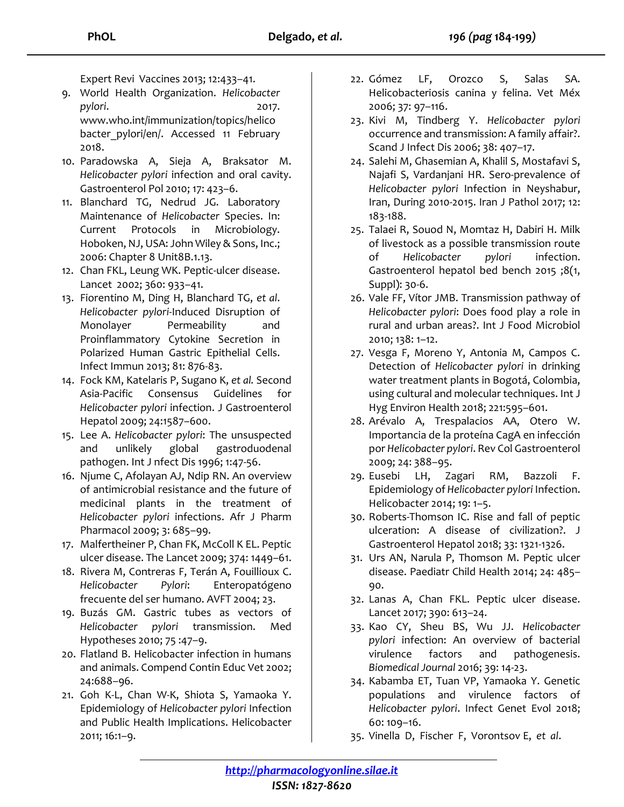Expert Revi Vaccines 2013; 12:433–41.

- 9. World Health Organization. *Helicobacter pylori*. 2017. www.who.int/immunization/topics/helico bacter pylori/en/. Accessed 11 February 2018.
- 10. Paradowska A, Sieja A, Braksator M. *Helicobacter pylori* infection and oral cavity. Gastroenterol Pol 2010; 17: 423–6.
- 11. Blanchard TG, Nedrud JG. Laboratory Maintenance of *Helicobacter* Species. In: Current Protocols in Microbiology. Hoboken, NJ, USA: John Wiley & Sons, Inc.; 2006: Chapter 8 Unit8B.1.13.
- 12. Chan FKL, Leung WK. Peptic-ulcer disease. Lancet 2002; 360: 933–41.
- 13. Fiorentino M, Ding H, Blanchard TG, *et al*. *Helicobacter pylori*-Induced Disruption of Monolayer Permeability and Proinflammatory Cytokine Secretion in Polarized Human Gastric Epithelial Cells. Infect Immun 2013; 81: 876-83.
- 14. Fock KM, Katelaris P, Sugano K, *et al.* Second Asia-Pacific Consensus Guidelines for *Helicobacter pylori* infection. J Gastroenterol Hepatol 2009; 24:1587–600.
- 15. Lee A. *Helicobacter pylori*: The unsuspected and unlikely global gastroduodenal pathogen. Int J nfect Dis 1996; 1:47-56.
- 16. Njume C, Afolayan AJ, Ndip RN. An overview of antimicrobial resistance and the future of medicinal plants in the treatment of *Helicobacter pylori* infections. Afr J Pharm Pharmacol 2009; 3: 685–99.
- 17. Malfertheiner P, Chan FK, McColl K EL. Peptic ulcer disease. The Lancet 2009; 374: 1449–61.
- 18. Rivera M, Contreras F, Terán A, Fouillioux C. *Helicobacter Pylori*: Enteropatógeno frecuente del ser humano. AVFT 2004; 23.
- 19. Buzás GM. Gastric tubes as vectors of *Helicobacter pylori* transmission. Med Hypotheses 2010; 75 :47–9.
- 20. Flatland B. Helicobacter infection in humans and animals. Compend Contin Educ Vet 2002; 24:688–96.
- 21. Goh K-L, Chan W-K, Shiota S, Yamaoka Y. Epidemiology of *Helicobacter pylori* Infection and Public Health Implications. Helicobacter 2011; 16:1–9.
- 22. Gómez LF, Orozco S, Salas SA. Helicobacteriosis canina y felina. Vet Méx 2006; 37: 97–116.
- 23. Kivi M, Tindberg Y. *Helicobacter pylori* occurrence and transmission: A family affair?. Scand J Infect Dis 2006; 38: 407–17.
- 24. Salehi M, Ghasemian A, Khalil S, Mostafavi S, Najafi S, Vardanjani HR. Sero-prevalence of *Helicobacter pylori* Infection in Neyshabur, Iran, During 2010-2015. Iran J Pathol 2017; 12: 183-188.
- 25. Talaei R, Souod N, Momtaz H, Dabiri H. Milk of livestock as a possible transmission route of *Helicobacter pylori* infection. Gastroenterol hepatol bed bench 2015 ;8(1, Suppl): 30-6.
- 26. Vale FF, Vítor JMB. Transmission pathway of *Helicobacter pylori*: Does food play a role in rural and urban areas?. Int J Food Microbiol 2010; 138: 1–12.
- 27. Vesga F, Moreno Y, Antonia M, Campos C. Detection of *Helicobacter pylori* in drinking water treatment plants in Bogotá, Colombia, using cultural and molecular techniques. Int J Hyg Environ Health 2018; 221:595–601.
- 28. Arévalo A, Trespalacios AA, Otero W. Importancia de la proteína CagA en infección por *Helicobacter pylori*. Rev Col Gastroenterol 2009; 24: 388–95.
- 29. Eusebi LH, Zagari RM, Bazzoli F. Epidemiology of *Helicobacter pylori* Infection. Helicobacter 2014; 19: 1–5.
- 30. Roberts-Thomson IC. Rise and fall of peptic ulceration: A disease of civilization?. J Gastroenterol Hepatol 2018; 33: 1321-1326.
- 31. Urs AN, Narula P, Thomson M. Peptic ulcer disease. Paediatr Child Health 2014; 24: 485– 90.
- 32. Lanas A, Chan FKL. Peptic ulcer disease. Lancet 2017; 390: 613–24.
- 33. Kao CY, Sheu BS, Wu JJ. *Helicobacter pylori* infection: An overview of bacterial virulence factors and pathogenesis. *Biomedical Journal* 2016; 39: 14-23.
- 34. Kabamba ET, Tuan VP, Yamaoka Y. Genetic populations and virulence factors of *Helicobacter pylori*. Infect Genet Evol 2018; 60: 109–16.
- 35. Vinella D, Fischer F, Vorontsov E, *et al*.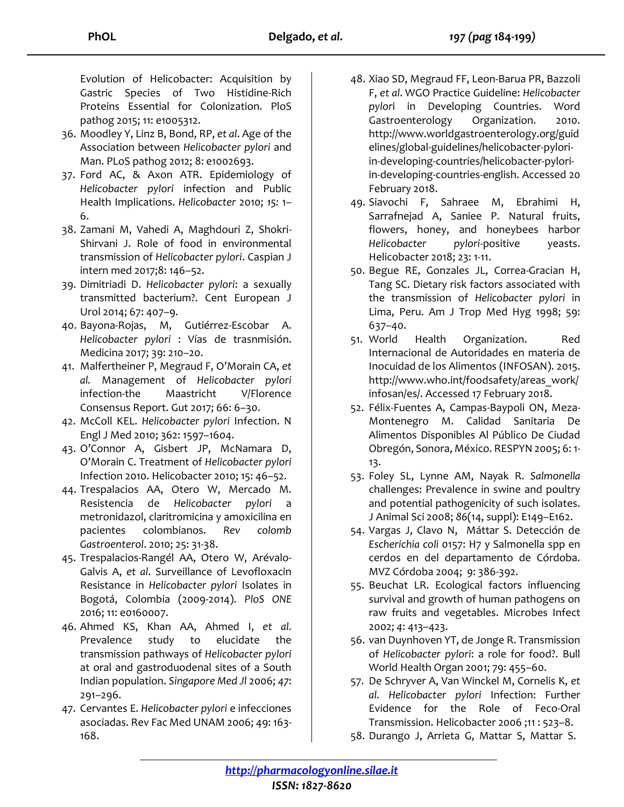Evolution of Helicobacter: Acquisition by Gastric Species of Two Histidine-Rich Proteins Essential for Colonization. PloS pathog 2015; 11: e1005312.

- 36. Moodley Y, Linz B, Bond, RP, *et al*. Age of the Association between *Helicobacter pylori* and Man. PLoS pathog 2012; 8: e1002693.
- 37. Ford AC, & Axon ATR. Epidemiology of *Helicobacter pylori* infection and Public Health Implications. *Helicobacter* 2010; *15:* 1– 6.
- 38. Zamani M, Vahedi A, Maghdouri Z, Shokri-Shirvani J. Role of food in environmental transmission of *Helicobacter pylori*. Caspian J intern med 2017;8: 146–52.
- 39. Dimitriadi D. *Helicobacter pylori*: a sexually transmitted bacterium?. Cent European J Urol 2014; 67: 407–9.
- 40. Bayona-Rojas, M, Gutiérrez-Escobar A. *Helicobacter pylori* : Vías de trasnmisión. Medicina 2017; 39: 210–20.
- 41. Malfertheiner P, Megraud F, O'Morain CA, *et al.* Management of *Helicobacter pylori* infection-the Maastricht V/Florence Consensus Report. Gut 2017; 66: 6–30.
- 42. McColl KEL. *Helicobacter pylori* Infection. N Engl J Med 2010; 362: 1597–1604.
- 43. O'Connor A, Gisbert JP, McNamara D, O'Morain C. Treatment of *Helicobacter pylori* Infection 2010. Helicobacter 2010; 15: 46–52.
- 44. Trespalacios AA, Otero W, Mercado M. Resistencia de *Helicobacter pylori* a metronidazol, claritromicina y amoxicilina en pacientes colombianos. *Rev colomb Gastroenterol*. 2010; 25: 31-38.
- 45. Trespalacios-Rangél AA, Otero W, Arévalo-Galvis A, *et al*. Surveillance of Levofloxacin Resistance in *Helicobacter pylori* Isolates in Bogotá, Colombia (2009-2014). *PloS ONE* 2016; 11: e0160007.
- 46. Ahmed KS, Khan AA, Ahmed I, *et al*. Prevalence study to elucidate the transmission pathways of *Helicobacter pylori* at oral and gastroduodenal sites of a South Indian population. *Singapore Med Jl* 2006; *47*: 291–296.
- 47. Cervantes E. *Helicobacter pylori* e infecciones asociadas. Rev Fac Med UNAM 2006; 49: 163- 168.
- 48. Xiao SD, Megraud FF, Leon-Barua PR, Bazzoli F, *et al*. WGO Practice Guideline: *Helicobacter pylor*i in Developing Countries. Word Gastroenterology Organization. 2010. http://www.worldgastroenterology.org/guid elines/global-guidelines/helicobacter-pyloriin-developing-countries/helicobacter-pyloriin-developing-countries-english. Accessed 20 February 2018.
- 49. Siavochi F, Sahraee M, Ebrahimi H, Sarrafnejad A, Saniee P. Natural fruits, flowers, honey, and honeybees harbor *Helicobacter pylori*-positive yeasts. Helicobacter 2018; 23: 1-11.
- 50. Begue RE, Gonzales JL, Correa-Gracian H, Tang SC. Dietary risk factors associated with the transmission of *Helicobacter pylori* in Lima, Peru. Am J Trop Med Hyg 1998; 59: 637–40.
- 51. World Health Organization. Red Internacional de Autoridades en materia de Inocuidad de los Alimentos (INFOSAN). 2015. http://www.who.int/foodsafety/areas\_work/ infosan/es/. Accessed 17 February 2018.
- 52. Félix-Fuentes A, Campas-Baypoli ON, Meza-Montenegro M. Calidad Sanitaria De Alimentos Disponibles Al Público De Ciudad Obregón, Sonora, México. RESPYN 2005; 6: 1- 13.
- 53. Foley SL, Lynne AM, Nayak R. *Salmonella* challenges: Prevalence in swine and poultry and potential pathogenicity of such isolates. J Animal Sci 2008; *86*(14, suppl): E149–E162.
- 54. Vargas J, Clavo N, Máttar S. Detección de *Escherichia coli* 0157: H7 y Salmonella spp en cerdos en del departamento de Córdoba. MVZ Córdoba 2004; *9*: 386-392.
- 55. Beuchat LR. Ecological factors influencing survival and growth of human pathogens on raw fruits and vegetables. Microbes Infect 2002; *4*: 413–423.
- 56. van Duynhoven YT, de Jonge R. Transmission of *Helicobacter pylori*: a role for food?. Bull World Health Organ 2001; 79: 455–60.
- 57. De Schryver A, Van Winckel M, Cornelis K, *et al. Helicobacter pylori* Infection: Further Evidence for the Role of Feco-Oral Transmission. Helicobacter 2006 ;11 : 523–8.
- 58. Durango J, Arrieta G, Mattar S, Mattar S.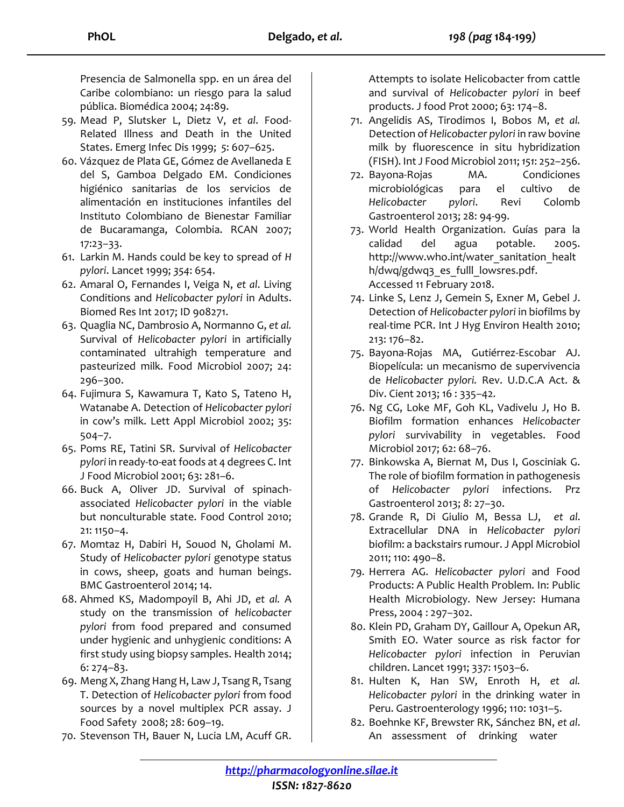Presencia de Salmonella spp. en un área del Caribe colombiano: un riesgo para la salud pública. Biomédica 2004; 24:89.

- 59. Mead P, Slutsker L, Dietz V, *et al*. Food-Related Illness and Death in the United States. Emerg Infec Dis 1999; *5*: 607–625.
- 60. Vázquez de Plata GE, Gómez de Avellaneda E del S, Gamboa Delgado EM. Condiciones higiénico sanitarias de los servicios de alimentación en instituciones infantiles del Instituto Colombiano de Bienestar Familiar de Bucaramanga, Colombia. RCAN 2007; 17:23–33.
- 61. Larkin M. Hands could be key to spread of *H pylori*. Lancet 1999; *354*: 654.
- 62. Amaral O, Fernandes I, Veiga N, *et al*. Living Conditions and *Helicobacter pylori* in Adults. Biomed Res Int 2017; ID 908271.
- 63. Quaglia NC, Dambrosio A, Normanno G, *et al.* Survival of *Helicobacter pylori* in artificially contaminated ultrahigh temperature and pasteurized milk. Food Microbiol 2007; 24: 296–300.
- 64. Fujimura S, Kawamura T, Kato S, Tateno H, Watanabe A. Detection of *Helicobacter pylori* in cow's milk. Lett Appl Microbiol 2002; 35: 504–7.
- 65. Poms RE, Tatini SR. Survival of *Helicobacter pylori* in ready-to-eat foods at 4 degrees C. Int J Food Microbiol 2001; 63: 281–6.
- 66. Buck A, Oliver JD. Survival of spinachassociated *Helicobacter pylori* in the viable but nonculturable state. Food Control 2010; 21: 1150–4.
- 67. Momtaz H, Dabiri H, Souod N, Gholami M. Study of *Helicobacter pylori* genotype status in cows, sheep, goats and human beings. BMC Gastroenterol 2014; 14.
- 68. Ahmed KS, Madompoyil B, Ahi JD, *et al.* A study on the transmission of *helicobacter pylori* from food prepared and consumed under hygienic and unhygienic conditions: A first study using biopsy samples. Health 2014; 6: 274–83.
- 69. Meng X, Zhang Hang H, Law J, Tsang R, Tsang T. Detection of *Helicobacter pylori* from food sources by a novel multiplex PCR assay. J Food Safety 2008; 28: 609–19.
- 70. Stevenson TH, Bauer N, Lucia LM, Acuff GR.

Attempts to isolate Helicobacter from cattle and survival of *Helicobacter pylori* in beef products. J food Prot 2000; 63: 174–8.

- 71. Angelidis AS, Tirodimos I, Bobos M, *et al.* Detection of *Helicobacter pylori* in raw bovine milk by fluorescence in situ hybridization (FISH). Int J Food Microbiol 2011; *151*: 252–256.
- 72. Bayona-Rojas MA. Condiciones microbiológicas para el cultivo de *Helicobacter pylori*. Revi Colomb Gastroenterol 2013; 28: 94-99.
- 73. World Health Organization. Guías para la calidad del agua potable. 2005. http://www.who.int/water\_sanitation\_healt h/dwq/gdwq3\_es\_fulll\_lowsres.pdf. Accessed 11 February 2018.
- 74. Linke S, Lenz J, Gemein S, Exner M, Gebel J. Detection of *Helicobacter pylori* in biofilms by real-time PCR. Int J Hyg Environ Health 2010; 213: 176–82.
- 75. Bayona-Rojas MA, Gutiérrez-Escobar AJ. Biopelícula: un mecanismo de supervivencia de *Helicobacter pylori.* Rev. U.D.C.A Act. & Div. Cient 2013; 16 : 335–42.
- 76. Ng CG, Loke MF, Goh KL, Vadivelu J, Ho B. Biofilm formation enhances *Helicobacter pylori* survivability in vegetables. Food Microbiol 2017; 62: 68–76.
- 77. Binkowska A, Biernat M, Dus I, Gosciniak G. The role of biofilm formation in pathogenesis of *Helicobacter pylori* infections. Prz Gastroenterol 2013; *8*: 27–30.
- 78. Grande R, Di Giulio M, Bessa LJ, *et al*. Extracellular DNA in *Helicobacter pylori* biofilm: a backstairs rumour. J Appl Microbiol 2011; 110: 490–8.
- 79. Herrera AG. *Helicobacter pylori* and Food Products: A Public Health Problem. In: Public Health Microbiology. New Jersey: Humana Press, 2004 : 297–302.
- 80. Klein PD, Graham DY, Gaillour A, Opekun AR, Smith EO. Water source as risk factor for *Helicobacter pylori* infection in Peruvian children. Lancet 1991; 337: 1503–6.
- 81. Hulten K, Han SW, Enroth H, *et al. Helicobacter pylori* in the drinking water in Peru. Gastroenterology 1996; 110: 1031–5.
- 82. Boehnke KF, Brewster RK, Sánchez BN, *et al*. An assessment of drinking water